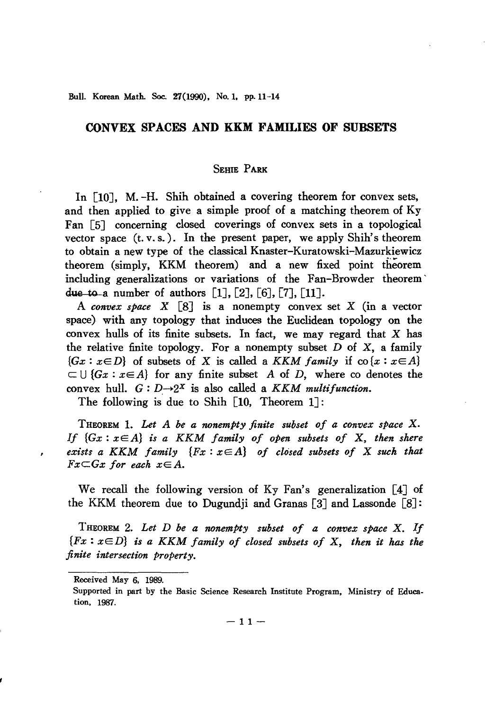BulL Korean Matb. Soc. 27(1990). No. 1. pp.11-14

# **CONVEX SPACES AND KKM FAMILIES OF SUBSETS**

## SEHIE PARK

In [10J, M. -H. Shih obtained a covering theorem for convex sets, and then applied to give a simple proof of a matching theorem of Ky Fan [5J concerning closed coverings of convex sets in a topological vector space  $(t, v, s)$ . In the present paper, we apply Shih's theorem to obtain a new type of the classical Knaster-Kuratowski-Mazurkiewicz theorem (simply, KKM theorem) and a new fixed point theorem including generalizations or variations of the Fan-Browder theorem' due to a number of authors  $[1]$ ,  $[2]$ ,  $[6]$ ,  $[7]$ ,  $[11]$ .

A *convex space*  $X \begin{bmatrix} 8 \end{bmatrix}$  is a nonempty convex set  $X$  (in a vector space) with any topology that induces the Euclidean topology on the convex hulls of its finite subsets. In fact, we may regard that  $X$  has the relative finite topology. For a nonempty subset  $D$  of  $X$ , a family  ${Gx : x \in D}$  of subsets of X is called a *KKM family* if  $\text{co}\{x : x \in A\}$  $\subset \bigcup \{Gx : x \in A\}$  for any finite subset A of D, where co denotes the convex hull.  $G: D \rightarrow 2^X$  is also called a *KKM multifunction*.

The following is due to Shih [10, Theorem 1J:

THEOREM 1. *Let A be a nonemPty finite subset of a convex space* X. *If {Gx: xEA} is a KKM family of open subsets of* X, *then shere exists a KKM family {Fx: xEA} of closed subsets of* X *such that*  $Fx\subset Gx$  *for each*  $x\in A$ .

We recall the following version of Ky Fan's generalization [4] of the KKM theorem due to Dugundji and Granas  $\lceil 3 \rceil$  and Lassonde  $\lceil 8 \rceil$ :

THEOREM 2. *Let D be a nonempty subset of a convex space* X. *If {Fx* : xE *D} is a KKM family of closed subsets of* X, *then it has the finite intersection property.*

×

Received May 6. 1989.

Supported in part by the Basic Science Research Institute Program. Ministry of Education, 1987.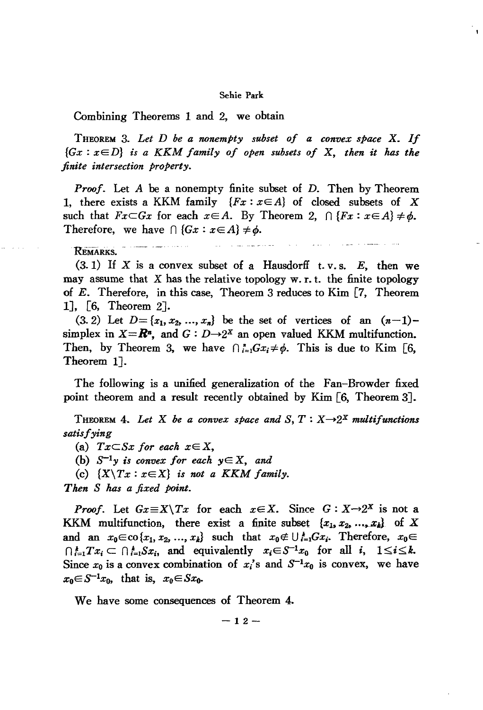#### Sehie Park

Combining Theorems 1 and 2, we obtain

THEOREM 3. *Let <sup>D</sup> be <sup>a</sup> nonempty subset of <sup>a</sup> convex space* X. *If {Gx* : xE *D} is a* KKM *family of open subsets of* X, *then it has the finite intersection property.*

*Proof.* Let *A* be a nonempty finite subset of *D.* Then by Theorem 1, there exists a KKM family  ${Fx : x \in A}$  of closed subsets of X such that  $Fx\subset Gx$  for each  $x\in A$ . By Theorem 2,  $\bigcap \{Fx : x\in A\} \neq \phi$ . Therefore, we have  $\bigcap$   $\{Gx : x \in A\} \neq \phi$ .

مستشفر والمساورات والوارد

REMARKS.

 $(3.1)$  If X is a convex subset of a Hausdorff t. v.s. E, then we may assume that  $X$  has the relative topology  $w.r.t.$  the finite topology of E. Therefore, in this case, Theorem 3 reduces to Kim [7, Theorem 1J, [6, Theorem 2J.

 $(3.2)$  Let  $D = \{x_1, x_2, ..., x_n\}$  be the set of vertices of an  $(n-1)$ simplex in  $X=R^n$ , and  $G: D\rightarrow 2^X$  an open valued KKM multifunction. Then, by Theorem 3, we have  $\bigcap_{i=1}^{n}Gx_i\neq\emptyset$ . This is due to Kim [6, Theorem 1J.

The following is a unified generalization of the Fan-Browder fixed point theorem and a result recently obtained by Kim [6, Theorem 3J.

THEOREM 4. Let X be a convex space and  $S, T: X \rightarrow 2^X$  multifunctions *satisfying*

(a)  $Tx \subseteq Sx$  *for each*  $x \in X$ ,

(b)  $S^{-1}y$  *is convex for each*  $y \in X$ , and

(c)  ${X \ Tx : x \in X}$  *is not a KKM family.* 

*Then S has a fixed point.*

*Proof.* Let  $Gx \equiv X \setminus Tx$  for each  $x \in X$ . Since  $G: X \rightarrow 2^X$  is not a KKM multifunction, there exist a finite subset  $\{x_1, x_2, ..., x_k\}$  of X and an  $x_0 \in \text{co}\{x_1, x_2, ..., x_k\}$  such that  $x_0 \notin \bigcup_{i=1}^k Gx_i$ . Therefore,  $x_0 \in$  $\bigcap_{i=1}^{k}Tx_i \subset \bigcap_{i=1}^{k}Sx_i$ , and equivalently  $x_i \in S^{-1}x_0$  for all i,  $1 \leq i \leq k$ . Since  $x_0$  is a convex combination of  $x_i$ 's and  $S^{-1}x_0$  is convex, we have  $x_0 \in S^{-1}x_0$ , that is,  $x_0 \in Sx_0$ .

We have some consequences of Theorem 4.

$$
-12-
$$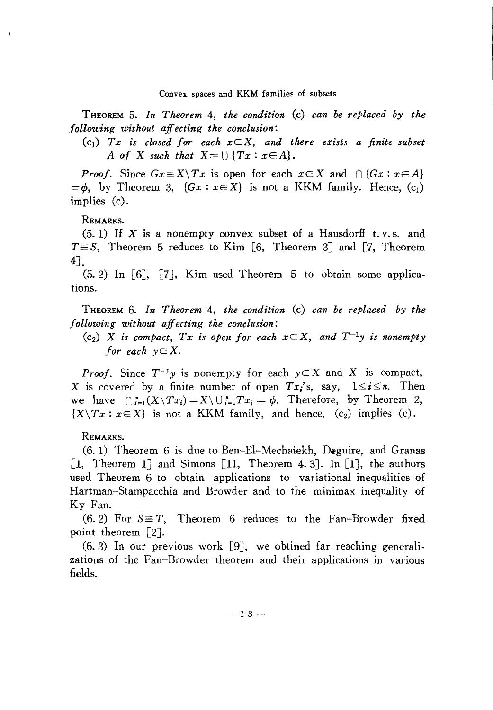THEOREM 5. *In Theorem* 4, *the condition* (c) *can be replaced by the following without affecting the conclusion:*

 $(c_1)$  *Tx is closed for each*  $x \in X$ , *and there exists a finite subset A* of X such that  $X = \bigcup \{Tx : x \in A\}.$ 

*Proof.* Since  $Gx \equiv X \setminus Tx$  is open for each  $x \in X$  and  $\bigcap \{Gx : x \in A\}$  $=$ *b*, by Theorem 3,  $\{Gx : x \in X\}$  is not a KKM family. Hence,  $(c_1)$ implies (c).

### REMARKS.

 $(5.1)$  If X is a nonempty convex subset of a Hausdorff t.v.s. and  $T \equiv S$ , Theorem 5 reduces to Kim [6, Theorem 3] and [7, Theorem 4J.

 $(5.2)$  In [6], [7], Kim used Theorem 5 to obtain some applications.

THEOREM 6. *In Theorem* 4, *the condition* (c) *can be replaced by the following without affecting the conclusion:*

*(cz)* X *is compact, Tx is open for each xEX, and T-ly is nonempty for* each  $y \in X$ .

*Proof.* Since  $T^{-1}y$  is nonempty for each  $y \in X$  and X is compact, X is covered by a finite number of open  $Tx_i$ 's, say,  $1 \le i \le n$ . Then we have  $\bigcap_{i=1}^n (X \setminus Tx_i) = X \setminus \bigcup_{i=1}^n Tx_i = \phi$ . Therefore, by Theorem 2,  ${X \setminus Tx : x \in X}$  is not a KKM family, and hence,  $(c_2)$  implies  $(c)$ .

REMARKS.

(6.1) Theorem 6 is due to Ben-El-Mechaiekh, Deguire, and Granas [1, Theorem 1] and Simons [11, Theorem 4.3]. In [1], the authors used Theorem 6 to obtain applications to variational inequalities of Hartman-Stampacchia and Browder and to the minimax inequality of Ky Fan.

 $(6.2)$  For  $S \equiv T$ , Theorem 6 reduces to the Fan-Browder fixed point theorem [2].

 $(6, 3)$  In our previous work [9], we obtined far reaching generalizations of the Fan-Browder theorem and their applications in various fields.

 $- 13 -$